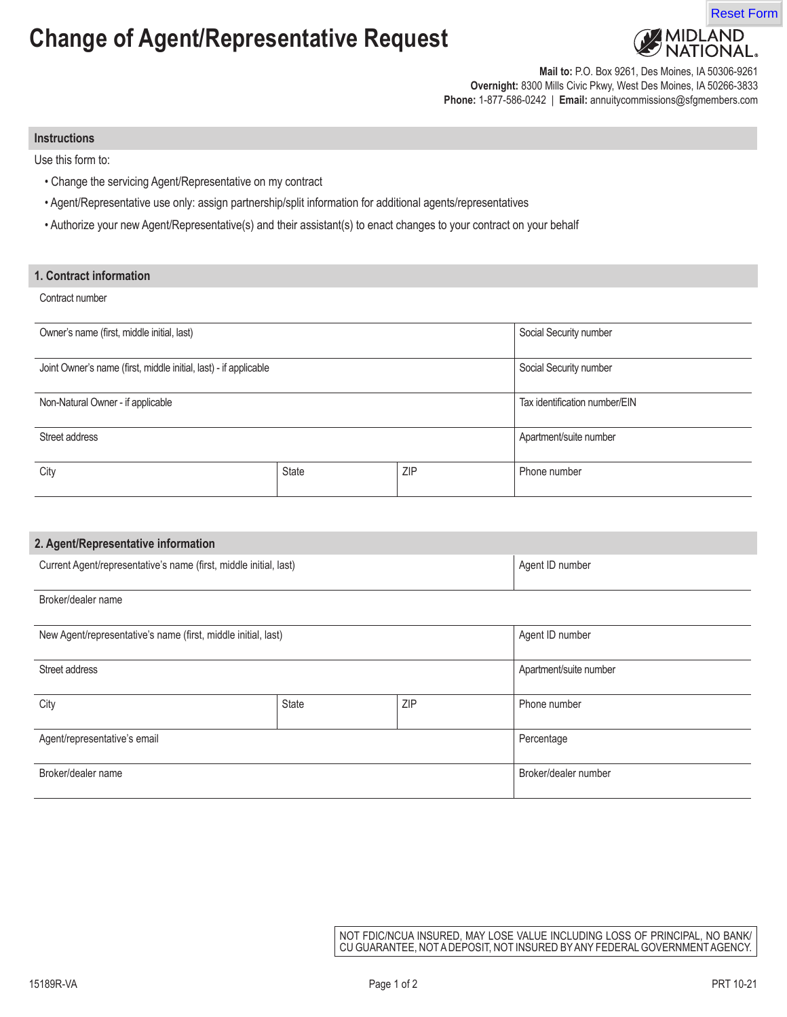## **Change of Agent/Representative Request**



**Mail to:** P.O. Box 9261, Des Moines, IA 50306-9261 **Overnight:** 8300 Mills Civic Pkwy, West Des Moines, IA 50266-3833 **Phone:** 1-877-586-0242 | **Email:** annuitycommissions@sfgmembers.com

#### **Instructions**

Use this form to:

- Change the servicing Agent/Representative on my contract
- Agent/Representative use only: assign partnership/split information for additional agents/representatives
- Authorize your new Agent/Representative(s) and their assistant(s) to enact changes to your contract on your behalf

### **1. Contract information**

### Contract number

| Owner's name (first, middle initial, last)                       |       |            | Social Security number        |
|------------------------------------------------------------------|-------|------------|-------------------------------|
| Joint Owner's name (first, middle initial, last) - if applicable |       |            | Social Security number        |
| Non-Natural Owner - if applicable                                |       |            | Tax identification number/EIN |
| Street address                                                   |       |            | Apartment/suite number        |
| City                                                             | State | <b>ZIP</b> | Phone number                  |

# **2. Agent/Representative information** Current Agent/representative's name (first, middle initial, last) Agent ID number Agent ID number Agent ID number Broker/dealer name New Agent/representative's name (first, middle initial, last) Agent ID number | Agent ID number Street address Apartment/suite number and the street address Apartment/suite number and the street address Apartment/suite number City City City State 2001 | State 2008 | ZIP | Phone number Agent/representative's email Percentage Broker/dealer name Broker/dealer number

NOT FDIC/NCUA INSURED, MAY LOSE VALUE INCLUDING LOSS OF PRINCIPAL, NO BANK/ CU GUARANTEE, NOT A DEPOSIT, NOT INSURED BY ANY FEDERAL GOVERNMENT AGENCY.